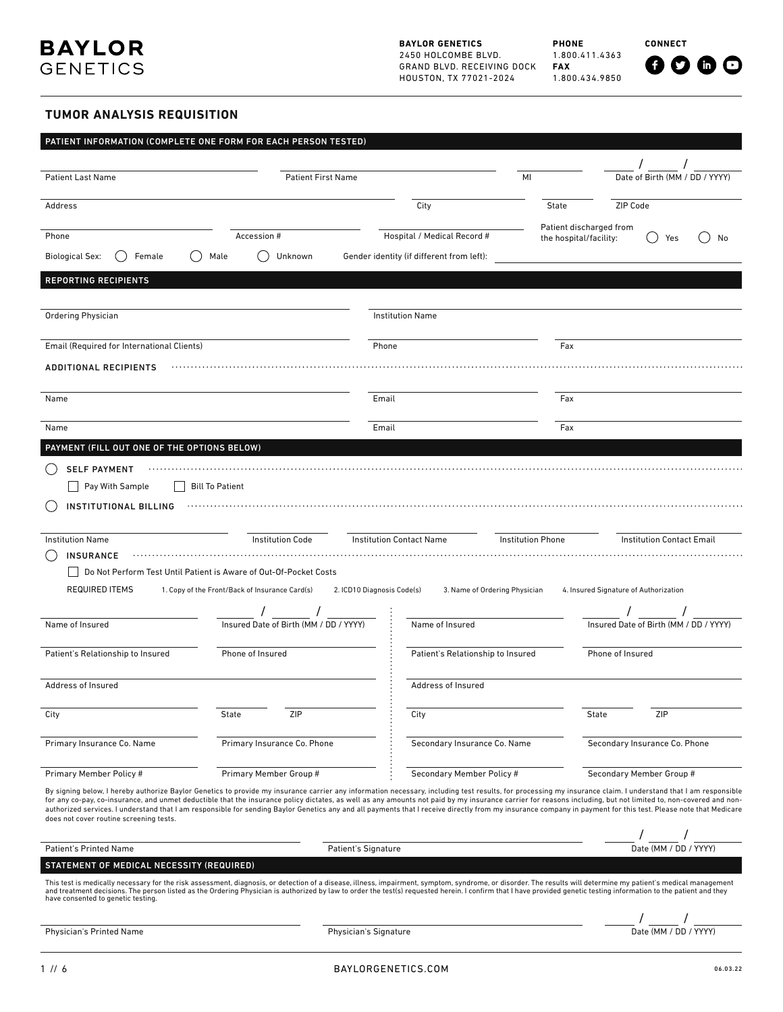

**BAYLOR GENETICS** 2450 HOLCOMBE BLVD. GRAND BLVD. RECEIVING DOCK HOUSTON, TX 77021-2024

**PHONE** 1.800.411.4363 **FAX** 1.800.434.9850

**CONNECT**

# $0000$

## **TUMOR ANALYSIS REQUISITION**

|                                             | PATIENT INFORMATION (COMPLETE ONE FORM FOR EACH PERSON TESTED)                                                                                                                                                                                                                                                                                                                                                                                                                                                                                                                                                                                    |                                                             |                          |                                        |
|---------------------------------------------|---------------------------------------------------------------------------------------------------------------------------------------------------------------------------------------------------------------------------------------------------------------------------------------------------------------------------------------------------------------------------------------------------------------------------------------------------------------------------------------------------------------------------------------------------------------------------------------------------------------------------------------------------|-------------------------------------------------------------|--------------------------|----------------------------------------|
| <b>Patient Last Name</b>                    | <b>Patient First Name</b>                                                                                                                                                                                                                                                                                                                                                                                                                                                                                                                                                                                                                         |                                                             | MI                       | Date of Birth (MM / DD / YYYY)         |
|                                             |                                                                                                                                                                                                                                                                                                                                                                                                                                                                                                                                                                                                                                                   |                                                             |                          |                                        |
| Address                                     |                                                                                                                                                                                                                                                                                                                                                                                                                                                                                                                                                                                                                                                   | City                                                        | State                    | ZIP Code                               |
| Phone                                       | Accession #                                                                                                                                                                                                                                                                                                                                                                                                                                                                                                                                                                                                                                       | Hospital / Medical Record #                                 | Patient discharged from  |                                        |
|                                             |                                                                                                                                                                                                                                                                                                                                                                                                                                                                                                                                                                                                                                                   |                                                             | the hospital/facility:   | Yes<br>No                              |
| <b>Biological Sex:</b><br>Female            | Unknown<br>Male                                                                                                                                                                                                                                                                                                                                                                                                                                                                                                                                                                                                                                   | Gender identity (if different from left):                   |                          |                                        |
| <b>REPORTING RECIPIENTS</b>                 |                                                                                                                                                                                                                                                                                                                                                                                                                                                                                                                                                                                                                                                   |                                                             |                          |                                        |
|                                             |                                                                                                                                                                                                                                                                                                                                                                                                                                                                                                                                                                                                                                                   |                                                             |                          |                                        |
| Ordering Physician                          |                                                                                                                                                                                                                                                                                                                                                                                                                                                                                                                                                                                                                                                   | <b>Institution Name</b>                                     |                          |                                        |
| Email (Required for International Clients)  |                                                                                                                                                                                                                                                                                                                                                                                                                                                                                                                                                                                                                                                   | Phone                                                       | Fax                      |                                        |
| <b>ADDITIONAL RECIPIENTS</b>                |                                                                                                                                                                                                                                                                                                                                                                                                                                                                                                                                                                                                                                                   |                                                             |                          |                                        |
|                                             |                                                                                                                                                                                                                                                                                                                                                                                                                                                                                                                                                                                                                                                   |                                                             |                          |                                        |
| Name                                        |                                                                                                                                                                                                                                                                                                                                                                                                                                                                                                                                                                                                                                                   | Email                                                       | Fax                      |                                        |
| Name                                        |                                                                                                                                                                                                                                                                                                                                                                                                                                                                                                                                                                                                                                                   | Email                                                       | Fax                      |                                        |
|                                             |                                                                                                                                                                                                                                                                                                                                                                                                                                                                                                                                                                                                                                                   |                                                             |                          |                                        |
| PAYMENT (FILL OUT ONE OF THE OPTIONS BELOW) |                                                                                                                                                                                                                                                                                                                                                                                                                                                                                                                                                                                                                                                   |                                                             |                          |                                        |
| <b>SELF PAYMENT</b>                         |                                                                                                                                                                                                                                                                                                                                                                                                                                                                                                                                                                                                                                                   |                                                             |                          |                                        |
| Pay With Sample                             | <b>Bill To Patient</b>                                                                                                                                                                                                                                                                                                                                                                                                                                                                                                                                                                                                                            |                                                             |                          |                                        |
| <b>INSTITUTIONAL BILLING</b>                |                                                                                                                                                                                                                                                                                                                                                                                                                                                                                                                                                                                                                                                   |                                                             |                          |                                        |
| <b>Institution Name</b>                     | <b>Institution Code</b>                                                                                                                                                                                                                                                                                                                                                                                                                                                                                                                                                                                                                           | <b>Institution Contact Name</b>                             | <b>Institution Phone</b> | <b>Institution Contact Email</b>       |
| <b>INSURANCE</b>                            |                                                                                                                                                                                                                                                                                                                                                                                                                                                                                                                                                                                                                                                   |                                                             |                          |                                        |
|                                             | Do Not Perform Test Until Patient is Aware of Out-Of-Pocket Costs                                                                                                                                                                                                                                                                                                                                                                                                                                                                                                                                                                                 |                                                             |                          |                                        |
| <b>REQUIRED ITEMS</b>                       | 1. Copy of the Front/Back of Insurance Card(s)                                                                                                                                                                                                                                                                                                                                                                                                                                                                                                                                                                                                    | 2. ICD10 Diagnosis Code(s)<br>3. Name of Ordering Physician |                          | 4. Insured Signature of Authorization  |
|                                             |                                                                                                                                                                                                                                                                                                                                                                                                                                                                                                                                                                                                                                                   |                                                             |                          | $\sqrt{2}$                             |
| Name of Insured                             | Insured Date of Birth (MM / DD / YYYY)                                                                                                                                                                                                                                                                                                                                                                                                                                                                                                                                                                                                            | Name of Insured                                             |                          | Insured Date of Birth (MM / DD / YYYY) |
| Patient's Relationship to Insured           | Phone of Insured                                                                                                                                                                                                                                                                                                                                                                                                                                                                                                                                                                                                                                  | Patient's Relationship to Insured                           |                          | Phone of Insured                       |
|                                             |                                                                                                                                                                                                                                                                                                                                                                                                                                                                                                                                                                                                                                                   |                                                             |                          |                                        |
| Address of Insured                          |                                                                                                                                                                                                                                                                                                                                                                                                                                                                                                                                                                                                                                                   | Address of Insured                                          |                          |                                        |
|                                             |                                                                                                                                                                                                                                                                                                                                                                                                                                                                                                                                                                                                                                                   |                                                             |                          |                                        |
| City                                        | ZIP<br><b>State</b>                                                                                                                                                                                                                                                                                                                                                                                                                                                                                                                                                                                                                               | City                                                        |                          | State<br>ZIP                           |
| Primary Insurance Co. Name                  | Primary Insurance Co. Phone                                                                                                                                                                                                                                                                                                                                                                                                                                                                                                                                                                                                                       | Secondary Insurance Co. Name                                |                          | Secondary Insurance Co. Phone          |
|                                             |                                                                                                                                                                                                                                                                                                                                                                                                                                                                                                                                                                                                                                                   |                                                             |                          |                                        |
| Primary Member Policy #                     | Primary Member Group #                                                                                                                                                                                                                                                                                                                                                                                                                                                                                                                                                                                                                            | Secondary Member Policy #                                   |                          | Secondary Member Group #               |
| does not cover routine screening tests.     | By signing below, I hereby authorize Baylor Genetics to provide my insurance carrier any information necessary, including test results, for processing my insurance claim. I understand that I am responsible<br>for any co-pay, co-insurance, and unmet deductible that the insurance policy dictates, as well as any amounts not paid by my insurance carrier for reasons including, but not limited to, non-covered and non-<br>authorized services. I understand that I am responsible for sending Baylor Genetics any and all payments that I receive directly from my insurance company in payment for this test. Please note that Medicare |                                                             |                          |                                        |
|                                             |                                                                                                                                                                                                                                                                                                                                                                                                                                                                                                                                                                                                                                                   |                                                             |                          |                                        |
| <b>Patient's Printed Name</b>               |                                                                                                                                                                                                                                                                                                                                                                                                                                                                                                                                                                                                                                                   | <b>Patient's Signature</b>                                  |                          | Date (MM / DD / YYYY)                  |
| STATEMENT OF MEDICAL NECESSITY (REQUIRED)   |                                                                                                                                                                                                                                                                                                                                                                                                                                                                                                                                                                                                                                                   |                                                             |                          |                                        |
| have consented to genetic testing.          | This test is medically necessary for the risk assessment, diagnosis, or detection of a disease, illness, impairment, symptom, syndrome, or disorder. The results will determine my patient's medical management<br>and treatment decisions. The person listed as the Ordering Physician is authorized by law to order the test(s) requested herein. I confirm that I have provided genetic testing information to the patient and they                                                                                                                                                                                                            |                                                             |                          |                                        |
|                                             |                                                                                                                                                                                                                                                                                                                                                                                                                                                                                                                                                                                                                                                   |                                                             |                          |                                        |
| Physician's Printed Name                    |                                                                                                                                                                                                                                                                                                                                                                                                                                                                                                                                                                                                                                                   | Physician's Signature                                       |                          | Date (MM / DD / YYYY)                  |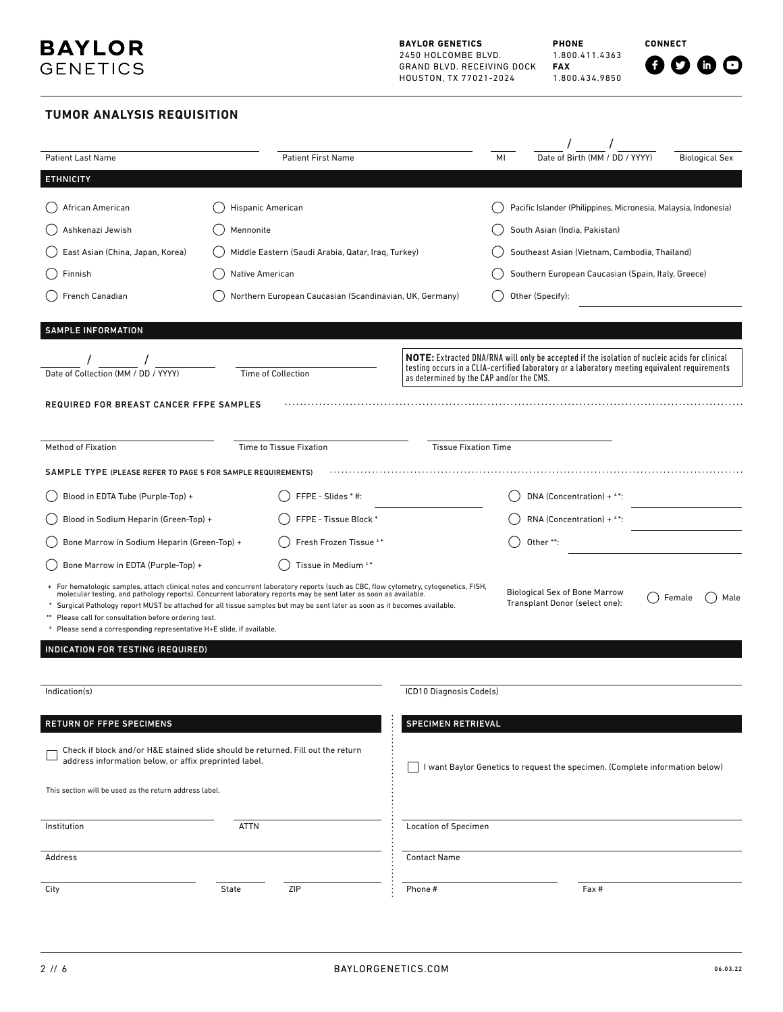**CONNECT**

# **TUMOR ANALYSIS REQUISITION**

| <b>Patient Last Name</b>                                                                                                                  | <b>Patient First Name</b>                                                                                                                                                                                                                                                                                                                                                            |                                          | MI                                                 | Date of Birth (MM / DD / YYYY)                                                                                                                                                                       |  | <b>Biological Sex</b> |
|-------------------------------------------------------------------------------------------------------------------------------------------|--------------------------------------------------------------------------------------------------------------------------------------------------------------------------------------------------------------------------------------------------------------------------------------------------------------------------------------------------------------------------------------|------------------------------------------|----------------------------------------------------|------------------------------------------------------------------------------------------------------------------------------------------------------------------------------------------------------|--|-----------------------|
| <b>ETHNICITY</b>                                                                                                                          |                                                                                                                                                                                                                                                                                                                                                                                      |                                          |                                                    |                                                                                                                                                                                                      |  |                       |
| African American                                                                                                                          | Hispanic American                                                                                                                                                                                                                                                                                                                                                                    |                                          |                                                    | Pacific Islander (Philippines, Micronesia, Malaysia, Indonesia)                                                                                                                                      |  |                       |
| Ashkenazi Jewish                                                                                                                          | Mennonite                                                                                                                                                                                                                                                                                                                                                                            |                                          |                                                    | South Asian (India, Pakistan)                                                                                                                                                                        |  |                       |
| East Asian (China, Japan, Korea)                                                                                                          | Middle Eastern (Saudi Arabia, Qatar, Iraq, Turkey)                                                                                                                                                                                                                                                                                                                                   |                                          |                                                    | Southeast Asian (Vietnam, Cambodia, Thailand)                                                                                                                                                        |  |                       |
| Finnish                                                                                                                                   | Native American                                                                                                                                                                                                                                                                                                                                                                      |                                          | Southern European Caucasian (Spain, Italy, Greece) |                                                                                                                                                                                                      |  |                       |
| French Canadian                                                                                                                           | Northern European Caucasian (Scandinavian, UK, Germany)                                                                                                                                                                                                                                                                                                                              |                                          | Other (Specify):                                   |                                                                                                                                                                                                      |  |                       |
|                                                                                                                                           |                                                                                                                                                                                                                                                                                                                                                                                      |                                          |                                                    |                                                                                                                                                                                                      |  |                       |
| <b>SAMPLE INFORMATION</b>                                                                                                                 |                                                                                                                                                                                                                                                                                                                                                                                      |                                          |                                                    |                                                                                                                                                                                                      |  |                       |
| Date of Collection (MM / DD / YYYY)                                                                                                       | Time of Collection                                                                                                                                                                                                                                                                                                                                                                   | as determined by the CAP and/or the CMS. |                                                    | <b>NOTE:</b> Extracted DNA/RNA will only be accepted if the isolation of nucleic acids for clinical<br>testing occurs in a CLIA-certified laboratory or a laboratory meeting equivalent requirements |  |                       |
| <b>REQUIRED FOR BREAST CANCER FFPE SAMPLES</b>                                                                                            |                                                                                                                                                                                                                                                                                                                                                                                      |                                          |                                                    |                                                                                                                                                                                                      |  |                       |
|                                                                                                                                           |                                                                                                                                                                                                                                                                                                                                                                                      |                                          |                                                    |                                                                                                                                                                                                      |  |                       |
| <b>Method of Fixation</b>                                                                                                                 | <b>Time to Tissue Fixation</b>                                                                                                                                                                                                                                                                                                                                                       | <b>Tissue Fixation Time</b>              |                                                    |                                                                                                                                                                                                      |  |                       |
| SAMPLE TYPE (PLEASE REFER TO PAGE 5 FOR SAMPLE REQUIREMENTS)                                                                              |                                                                                                                                                                                                                                                                                                                                                                                      |                                          |                                                    |                                                                                                                                                                                                      |  |                       |
| Blood in EDTA Tube (Purple-Top) +                                                                                                         | FFPE - Slides * #:                                                                                                                                                                                                                                                                                                                                                                   |                                          |                                                    | DNA (Concentration) + $*$ *:                                                                                                                                                                         |  |                       |
| Blood in Sodium Heparin (Green-Top) +                                                                                                     | FFPE - Tissue Block *                                                                                                                                                                                                                                                                                                                                                                |                                          |                                                    | RNA (Concentration) + $*$ *:                                                                                                                                                                         |  |                       |
| Bone Marrow in Sodium Heparin (Green-Top) +                                                                                               | Fresh Frozen Tissue **                                                                                                                                                                                                                                                                                                                                                               |                                          |                                                    | Other **:                                                                                                                                                                                            |  |                       |
| Bone Marrow in EDTA (Purple-Top) +                                                                                                        | Tissue in Medium **                                                                                                                                                                                                                                                                                                                                                                  |                                          |                                                    |                                                                                                                                                                                                      |  |                       |
| ** Please call for consultation before ordering test.<br><sup>±</sup> Please send a corresponding representative H+E slide, if available. | + For hematologic samples, attach clinical notes and concurrent laboratory reports (such as CBC, flow cytometry, cytogenetics, FISH,<br>molecular testing, and pathology reports). Concurrent laboratory reports may be sent later as soon as available.<br>Surgical Pathology report MUST be attached for all tissue samples but may be sent later as soon as it becomes available. |                                          |                                                    | <b>Biological Sex of Bone Marrow</b><br>Transplant Donor (select one):                                                                                                                               |  | Female<br>Male        |
| INDICATION FOR TESTING (REQUIRED)                                                                                                         |                                                                                                                                                                                                                                                                                                                                                                                      |                                          |                                                    |                                                                                                                                                                                                      |  |                       |
|                                                                                                                                           |                                                                                                                                                                                                                                                                                                                                                                                      |                                          |                                                    |                                                                                                                                                                                                      |  |                       |
| Indication(s)                                                                                                                             |                                                                                                                                                                                                                                                                                                                                                                                      | ICD10 Diagnosis Code(s)                  |                                                    |                                                                                                                                                                                                      |  |                       |
| <b>RETURN OF FFPE SPECIMENS</b>                                                                                                           |                                                                                                                                                                                                                                                                                                                                                                                      | <b>SPECIMEN RETRIEVAL</b>                |                                                    |                                                                                                                                                                                                      |  |                       |
| address information below, or affix preprinted label.                                                                                     | Check if block and/or H&E stained slide should be returned. Fill out the return                                                                                                                                                                                                                                                                                                      |                                          |                                                    | I want Baylor Genetics to request the specimen. (Complete information below)                                                                                                                         |  |                       |
| This section will be used as the return address label.                                                                                    |                                                                                                                                                                                                                                                                                                                                                                                      |                                          |                                                    |                                                                                                                                                                                                      |  |                       |
| Institution                                                                                                                               | ATTN                                                                                                                                                                                                                                                                                                                                                                                 | <b>Location of Specimen</b>              |                                                    |                                                                                                                                                                                                      |  |                       |
| Address                                                                                                                                   |                                                                                                                                                                                                                                                                                                                                                                                      | <b>Contact Name</b>                      |                                                    |                                                                                                                                                                                                      |  |                       |
| City                                                                                                                                      | ZIP<br>State                                                                                                                                                                                                                                                                                                                                                                         | Phone #                                  |                                                    | Fax #                                                                                                                                                                                                |  |                       |
|                                                                                                                                           |                                                                                                                                                                                                                                                                                                                                                                                      |                                          |                                                    |                                                                                                                                                                                                      |  |                       |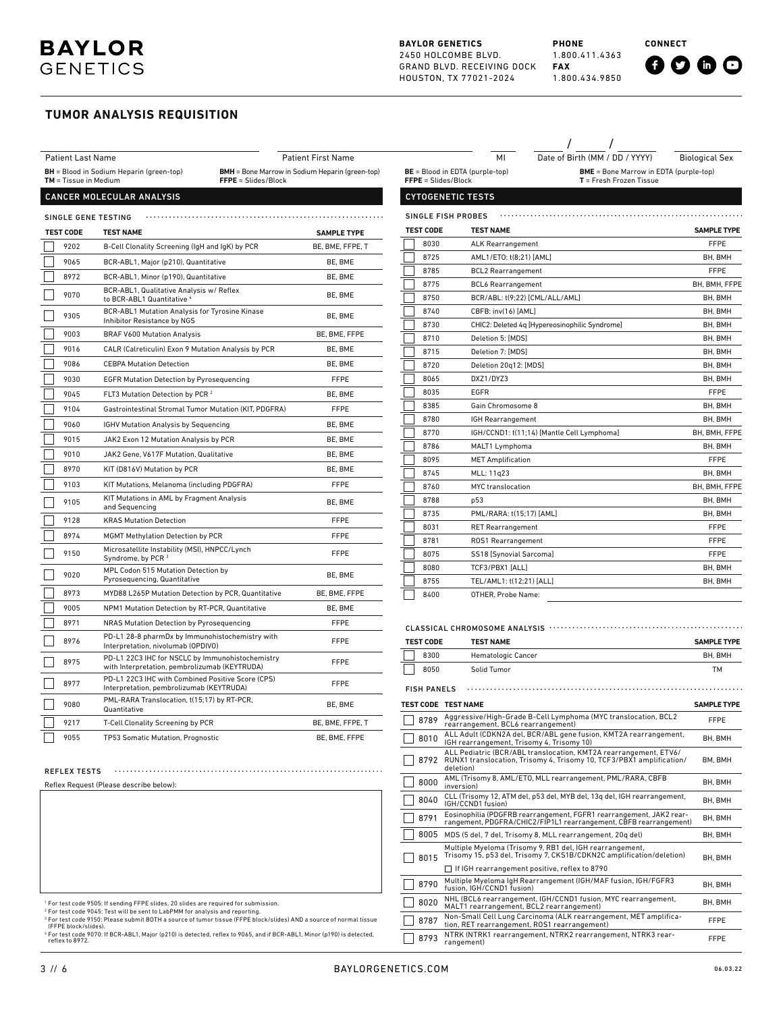#### **BAYLOR GENETICS** 2450 HOLCOMBE BLVD. GRAND BLVD. RECEIVING DOCK HOUSTON, TX 77021-2024

8400 OTHER, Probe Name:

 $\mathbf{I}$ 

**PHONE** 1.800.411.4363 **FAX** 1.800.434.9850

/ /

**CONNECT**



### **TUMOR ANALYSIS REQUISITION**

### CANCER MOLECULAR ANALYSIS

| SINGLE GENE TESTING |                                                                                                   |                    |  |  |  |  |  |
|---------------------|---------------------------------------------------------------------------------------------------|--------------------|--|--|--|--|--|
| <b>TEST CODE</b>    | <b>TEST NAME</b>                                                                                  | <b>SAMPLE TYPE</b> |  |  |  |  |  |
| 9202                | B-Cell Clonality Screening (IgH and IgK) by PCR                                                   | BE, BME, FFPE, T   |  |  |  |  |  |
| 9065                | BCR-ABL1, Major (p210), Quantitative                                                              | BE, BME            |  |  |  |  |  |
| 8972                | BCR-ABL1, Minor (p190), Quantitative                                                              | BE, BME            |  |  |  |  |  |
| 9070                | BCR-ABL1, Qualitative Analysis w/ Reflex<br>to BCR-ABL1 Quantitative 4                            | BE, BME            |  |  |  |  |  |
| 9305                | BCR-ABL1 Mutation Analysis for Tyrosine Kinase<br>Inhibitor Resistance by NGS                     | BE, BME            |  |  |  |  |  |
| 9003                | <b>BRAF V600 Mutation Analysis</b>                                                                | BE, BME, FFPE      |  |  |  |  |  |
| 9016                | CALR (Calreticulin) Exon 9 Mutation Analysis by PCR                                               | BE, BME            |  |  |  |  |  |
| 9086                | <b>CEBPA Mutation Detection</b>                                                                   | BE, BME            |  |  |  |  |  |
| 9030                | <b>EGFR Mutation Detection by Pyrosequencing</b>                                                  | <b>FFPE</b>        |  |  |  |  |  |
| 9045                | FLT3 Mutation Detection by PCR <sup>2</sup>                                                       | BE, BME            |  |  |  |  |  |
| 9104                | Gastrointestinal Stromal Tumor Mutation (KIT, PDGFRA)                                             | <b>FFPE</b>        |  |  |  |  |  |
| 9060                | <b>IGHV Mutation Analysis by Sequencing</b>                                                       | BE, BME            |  |  |  |  |  |
| 9015                | JAK2 Exon 12 Mutation Analysis by PCR                                                             | BE, BME            |  |  |  |  |  |
| 9010                | JAK2 Gene, V617F Mutation, Qualitative                                                            | BE, BME            |  |  |  |  |  |
| 8970                | KIT (D816V) Mutation by PCR                                                                       | BE, BME            |  |  |  |  |  |
| 9103                | KIT Mutations, Melanoma (including PDGFRA)                                                        | <b>FFPE</b>        |  |  |  |  |  |
| 9105                | KIT Mutations in AML by Fragment Analysis<br>and Sequencing                                       | BE. BME            |  |  |  |  |  |
| 9128                | <b>KRAS Mutation Detection</b>                                                                    | <b>FFPE</b>        |  |  |  |  |  |
| 8974                | <b>MGMT Methylation Detection by PCR</b>                                                          | <b>FFPE</b>        |  |  |  |  |  |
| 9150                | Microsatellite Instability (MSI), HNPCC/Lynch<br>Syndrome, by PCR <sup>3</sup>                    | <b>FFPE</b>        |  |  |  |  |  |
| 9020                | MPL Codon 515 Mutation Detection by<br>Pyrosequencing, Quantitative                               | BE, BME            |  |  |  |  |  |
| 8973                | MYD88 L265P Mutation Detection by PCR, Quantitative                                               | BE, BME, FFPE      |  |  |  |  |  |
| 9005                | NPM1 Mutation Detection by RT-PCR, Quantitative                                                   | BE, BME            |  |  |  |  |  |
| 8971                | NRAS Mutation Detection by Pyrosequencing                                                         | <b>FFPE</b>        |  |  |  |  |  |
| 8976                | PD-L1 28-8 pharmDx by Immunohistochemistry with<br>Interpretation, nivolumab (OPDIVO)             | <b>FFPE</b>        |  |  |  |  |  |
| 8975                | PD-L1 22C3 IHC for NSCLC by Immunohistochemistry<br>with Interpretation, pembrolizumab (KEYTRUDA) | FFPE               |  |  |  |  |  |
| 8977                | PD-L1 22C3 IHC with Combined Positive Score (CPS)<br>Interpretation, pembrolizumab (KEYTRUDA)     | <b>FFPE</b>        |  |  |  |  |  |
| 9080                | PML-RARA Translocation, t(15;17) by RT-PCR,<br>Quantitative                                       | BE, BME            |  |  |  |  |  |
| 9217                | <b>T-Cell Clonality Screening by PCR</b>                                                          | BE, BME, FFPE, T   |  |  |  |  |  |
| 9055                | TP53 Somatic Mutation, Prognostic                                                                 | BE, BME, FFPE      |  |  |  |  |  |

| <b>Patient Last Name</b>                                                    |                                                                               | <b>Patient First Name</b>                                                     |  |                           | MI                                     | Date of Birth (MM / DD / YYYY)                 | <b>Biological Sex</b>                         |  |  |
|-----------------------------------------------------------------------------|-------------------------------------------------------------------------------|-------------------------------------------------------------------------------|--|---------------------------|----------------------------------------|------------------------------------------------|-----------------------------------------------|--|--|
| <b>BH</b> = Blood in Sodium Heparin (green-top)<br>$TM = T$ issue in Medium |                                                                               | <b>BMH</b> = Bone Marrow in Sodium Heparin (green-top)<br>FFPE = Slides/Block |  | FFPE = Slides/Block       | <b>BE</b> = Blood in EDTA (purple-top) | T = Fresh Frozen Tissue                        | <b>BME</b> = Bone Marrow in EDTA (purple-top) |  |  |
|                                                                             | CANCER MOLECULAR ANALYSIS                                                     |                                                                               |  | <b>CYTOGENETIC TESTS</b>  |                                        |                                                |                                               |  |  |
| <b>SINGLE GENE TESTING</b>                                                  |                                                                               |                                                                               |  | <b>SINGLE FISH PROBES</b> |                                        |                                                |                                               |  |  |
| <b>TEST CODE</b>                                                            | <b>TEST NAME</b>                                                              | <b>SAMPLE TYPE</b>                                                            |  | <b>TEST CODE</b>          | <b>TEST NAME</b>                       |                                                | <b>SAMPLE TYPE</b>                            |  |  |
| 9202                                                                        | B-Cell Clonality Screening (IgH and IgK) by PCR                               | BE, BME, FFPE, T                                                              |  | 8030                      | <b>ALK Rearrangement</b>               |                                                | FFPE                                          |  |  |
| 9065                                                                        | BCR-ABL1, Major (p210), Quantitative                                          | BE, BME                                                                       |  | 8725                      | AML1/ET0: t(8:21) [AML]                |                                                | BH. BMH                                       |  |  |
| 8972                                                                        | BCR-ABL1, Minor (p190), Quantitative                                          | BE, BME                                                                       |  | 8785                      | <b>BCL2 Rearrangement</b>              |                                                | FFPE                                          |  |  |
|                                                                             | BCR-ABL1, Qualitative Analysis w/ Reflex                                      |                                                                               |  | 8775                      | <b>BCL6 Rearrangement</b>              |                                                | BH. BMH. FFPE                                 |  |  |
| 9070                                                                        | to BCR-ABL1 Quantitative 4                                                    | BE. BME                                                                       |  | 8750                      |                                        | BCR/ABL: t(9;22) [CML/ALL/AML]                 | BH, BMH                                       |  |  |
| 9305                                                                        | BCR-ABL1 Mutation Analysis for Tyrosine Kinase<br>Inhibitor Resistance by NGS | BE, BME                                                                       |  | 8740                      | CBFB: inv(16) [AML]                    |                                                | BH, BMH                                       |  |  |
| 9003                                                                        | <b>BRAF V600 Mutation Analysis</b>                                            | BE. BME. FFPE                                                                 |  | 8730                      |                                        | CHIC2: Deleted 4q [Hypereosinophilic Syndrome] | BH, BMH                                       |  |  |
|                                                                             |                                                                               |                                                                               |  | 8710                      | Deletion 5: [MDS]                      |                                                | BH, BMH                                       |  |  |
| 9016                                                                        | CALR (Calreticulin) Exon 9 Mutation Analysis by PCR                           | BE, BME                                                                       |  | 8715                      | Deletion 7: [MDS]                      |                                                | BH, BMH                                       |  |  |
| 9086                                                                        | <b>CEBPA Mutation Detection</b>                                               | BE, BME                                                                       |  | 8720                      | Deletion 20g12: [MDS]                  |                                                | BH. BMH                                       |  |  |
| 9030                                                                        | <b>EGFR Mutation Detection by Pyrosequencing</b>                              | <b>FFPE</b>                                                                   |  | 8065                      | DXZ1/DYZ3                              |                                                | BH, BMH                                       |  |  |
| 9045                                                                        | FLT3 Mutation Detection by PCR <sup>2</sup>                                   | BE. BME                                                                       |  | 8035                      | <b>EGFR</b>                            |                                                | FFPE                                          |  |  |
| 9104                                                                        | Gastrointestinal Stromal Tumor Mutation (KIT, PDGFRA)                         | <b>FFPE</b>                                                                   |  | 8385                      | Gain Chromosome 8                      |                                                | BH, BMH                                       |  |  |
| 9060                                                                        | <b>IGHV Mutation Analysis by Sequencing</b>                                   | BE, BME                                                                       |  | 8780                      | IGH Rearrangement                      |                                                | BH. BMH                                       |  |  |
| 9015                                                                        | JAK2 Exon 12 Mutation Analysis by PCR                                         | BE, BME                                                                       |  | 8770                      |                                        | IGH/CCND1: t(11;14) [Mantle Cell Lymphoma]     | BH. BMH. FFPE                                 |  |  |
| 9010                                                                        | JAK2 Gene, V617F Mutation, Qualitative                                        | BE, BME                                                                       |  | 8786                      | MALT1 Lymphoma                         |                                                | BH, BMH                                       |  |  |
|                                                                             |                                                                               |                                                                               |  | 8095                      | <b>MET Amplification</b>               |                                                | <b>FFPE</b>                                   |  |  |
| 8970                                                                        | KIT (D816V) Mutation by PCR                                                   | BE, BME                                                                       |  | 8745                      | MLL: 11q23                             |                                                | BH. BMH                                       |  |  |
| 9103                                                                        | KIT Mutations, Melanoma (including PDGFRA)                                    | <b>FFPE</b>                                                                   |  | 8760                      | MYC translocation                      |                                                | BH, BMH, FFPE                                 |  |  |
| 9105                                                                        | KIT Mutations in AML by Fragment Analysis<br>and Sequencing                   | BE, BME                                                                       |  | 8788                      | p <sub>53</sub>                        |                                                | BH, BMH                                       |  |  |
| 9128                                                                        | <b>KRAS Mutation Detection</b>                                                | <b>FFPE</b>                                                                   |  | 8735                      | PML/RARA: t(15:17) [AML]               |                                                | BH. BMH                                       |  |  |
| 8974                                                                        | <b>MGMT Methylation Detection by PCR</b>                                      | <b>FFPE</b>                                                                   |  | 8031                      | <b>RET Rearrangement</b>               |                                                | FFPE                                          |  |  |
|                                                                             | Microsatellite Instability (MSI), HNPCC/Lynch                                 |                                                                               |  | 8781                      | ROS1 Rearrangement                     |                                                | <b>FFPE</b>                                   |  |  |
| 9150                                                                        | Syndrome, by PCR <sup>3</sup>                                                 | <b>FFPE</b>                                                                   |  | 8075                      | SS18 [Synovial Sarcoma]                |                                                | FFPE                                          |  |  |
| 9020                                                                        | MPL Codon 515 Mutation Detection by                                           | BE, BME                                                                       |  | 8080                      | TCF3/PBX1 [ALL]                        |                                                | BH. BMH                                       |  |  |
| Pyrosequencing, Quantitative                                                |                                                                               |                                                                               |  | 8755                      | TEL/AML1: t(12:21) [ALL]               |                                                | BH. BMH                                       |  |  |

#### CLASSICAL CHROMOSOME ANALYSIS . . . . . . . . . . . . **TEST CODE TEST NAME SAMPLE TYPE** 8300 Hematologic Cancer **BH, BMH** 8050 Solid Tumor TMFISH PANELS **TEST CODE TEST NAME SAMPLE TYPE** 8789 Aggressive/High-Grade B-Cell Lymphoma (MYC translocation, BCL2 rearrangement, BCL6 rearrangement) FFPE 8010 ALL Adult (CDKN2A del, BCR/ABL gene fusion, KMT2A rearrangement, BH, BMH<br>8010 IGH rearrangement, Trisomy 4, Trisomy 10) ALL Pediatric (BCR/ABL translocation, KMT2A rearrangement, ETV6/ RUNX1 translocation, Trisomy 4, Trisomy 10, TCF3/PBX1 amplification/ 8792 BM, BMH deletion) 8000 AML (Trisomy 8, AML/ETO, MLL rearrangement, PML/RARA, CBFB <sub>BH, BMH</sub><br>inversion) 8040 CLL (Trisomy 12, ATM del, p53 del, MYB del, 13q del, IGH rearrangement, IGH/CCND1 fusion) BH, BMH <sup>8791</sup> Eosinophilia (PDGFRB rearrangement, FGFR1 rearrangement, JAK2 rear- rangement, PDGFRA/CHIC2/FIP1L1 rearrangement, CBFB rearrangement) BH, BMH 8005 MDS (5 del, 7 del, Trisomy 8, MLL rearrangement, 20q del) BH, BMH Multiple Myeloma (Trisomy 9, RB1 del, IGH rearrangement, Trisomy 15, p53 del, Trisomy 7, CKS1B/CDKN2C amplification/deletion) 8015 BH, BMH If IGH rearrangement positive, reflex to 8790 8790 Multiple Myeloma IgH Rearrangement (IGH/MAF fusion, IGH/FGFR3 fusion, IGH/CCND1 fusion) BH, BMH

NHL (BCL6 rearrangement, IGH/CCNDT fusion, MTC rearrangement, BH, BMH<br>MALT1 rearrangement, BCL2 rearrangement)

■ 8787 Non-Small Cell Lung Carcinoma (ALK rearrangement, MET amplifica-<br>
FFPE tion, RET rearrangement, ROS1 rearrangement) 8793 NTRK (NTRK1 rearrangement, NTRK2 rearrangement, NTRK3 rear-rangement) FFPE

8020 NHL (BCL6 rearrangement, IGH/CCND1 fusion, MYC rearrangement,

Reflex Request (Please describe below):

1 For test code 9505: If sending FFPE slides, 20 slides are required for submission.

2 For test code 9045: Test will be sent to LabPMM for analysis and reporting.

<sup>3</sup> For test code 9150: Please submit BOTH a source of tumor tissue (FFPE block/slides) AND a source of normal tissue<br>(FFPE block/slides).

REFLEX TESTS

(FFPE block/slides). <sup>4</sup> For test code 9070: If BCR-ABL1, Major (p210) is detected, reflex to 9065, and if BCR-ABL1, Minor (p190) is detected, reflex to 8972.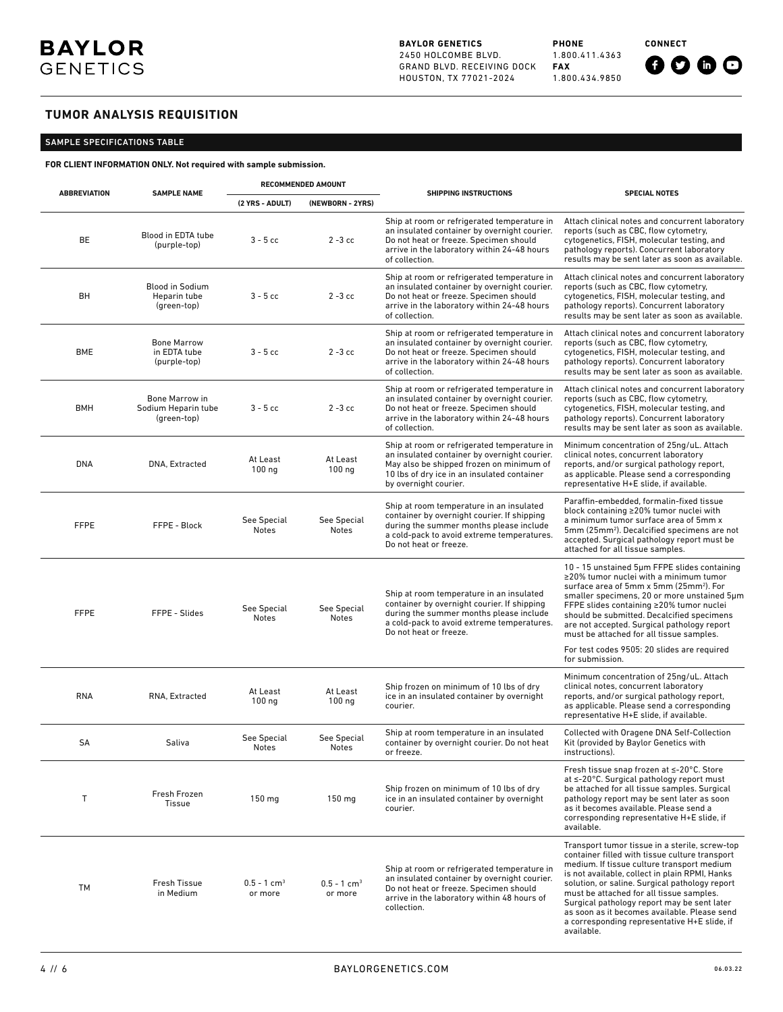**BAYLOR GENETICS** 2450 HOLCOMBE BLVD. GRAND BLVD. RECEIVING DOCK HOUSTON, TX 77021-2024

**PHONE** 1.800.411.4363 **FAX** 1.800.434.9850 **CONNECT**

# $0000$

# **TUMOR ANALYSIS REQUISITION**

# SAMPLE SPECIFICATIONS TABLE

Patient Last Name Patient First Name MI Date of Birth (MM / DD / YYYY) Biological Sex **FOR CLIENT INFORMATION ONLY. Not required with sample submission.**

|                     |                                                       | <b>RECOMMENDED AMOUNT</b>            |                                      |                                                                                                                                                                                                                 |                                                                                                                                                                                                                                                                                                                                                                                                                                                             |  |
|---------------------|-------------------------------------------------------|--------------------------------------|--------------------------------------|-----------------------------------------------------------------------------------------------------------------------------------------------------------------------------------------------------------------|-------------------------------------------------------------------------------------------------------------------------------------------------------------------------------------------------------------------------------------------------------------------------------------------------------------------------------------------------------------------------------------------------------------------------------------------------------------|--|
| <b>ABBREVIATION</b> | <b>SAMPLE NAME</b>                                    | (2 YRS - ADULT)                      | (NEWBORN - 2YRS)                     | <b>SHIPPING INSTRUCTIONS</b>                                                                                                                                                                                    | <b>SPECIAL NOTES</b>                                                                                                                                                                                                                                                                                                                                                                                                                                        |  |
| BE                  | Blood in EDTA tube<br>(purple-top)                    | $3 - 5$ cc                           | $2 - 3$ cc                           | Ship at room or refrigerated temperature in<br>an insulated container by overnight courier.<br>Do not heat or freeze. Specimen should<br>arrive in the laboratory within 24-48 hours<br>of collection.          | Attach clinical notes and concurrent laboratory<br>reports (such as CBC, flow cytometry,<br>cytogenetics, FISH, molecular testing, and<br>pathology reports). Concurrent laboratory<br>results may be sent later as soon as available.                                                                                                                                                                                                                      |  |
| BH                  | <b>Blood in Sodium</b><br>Heparin tube<br>(green-top) | $3 - 5$ cc                           | $2 - 3$ cc                           | Ship at room or refrigerated temperature in<br>an insulated container by overnight courier.<br>Do not heat or freeze. Specimen should<br>arrive in the laboratory within 24-48 hours<br>of collection.          | Attach clinical notes and concurrent laboratory<br>reports (such as CBC, flow cytometry,<br>cytogenetics, FISH, molecular testing, and<br>pathology reports). Concurrent laboratory<br>results may be sent later as soon as available.                                                                                                                                                                                                                      |  |
| <b>BME</b>          | <b>Bone Marrow</b><br>in EDTA tube<br>(purple-top)    | $3 - 5$ cc                           | $2 - 3$ cc                           | Ship at room or refrigerated temperature in<br>an insulated container by overnight courier.<br>Do not heat or freeze. Specimen should<br>arrive in the laboratory within 24-48 hours<br>of collection.          | Attach clinical notes and concurrent laboratory<br>reports (such as CBC, flow cytometry,<br>cytogenetics, FISH, molecular testing, and<br>pathology reports). Concurrent laboratory<br>results may be sent later as soon as available.                                                                                                                                                                                                                      |  |
| <b>BMH</b>          | Bone Marrow in<br>Sodium Heparin tube<br>(green-top)  | $3 - 5$ cc                           | $2 - 3$ cc                           | Ship at room or refrigerated temperature in<br>an insulated container by overnight courier.<br>Do not heat or freeze. Specimen should<br>arrive in the laboratory within 24-48 hours<br>of collection.          | Attach clinical notes and concurrent laboratory<br>reports (such as CBC, flow cytometry,<br>cytogenetics, FISH, molecular testing, and<br>pathology reports). Concurrent laboratory<br>results may be sent later as soon as available.                                                                                                                                                                                                                      |  |
| <b>DNA</b>          | DNA, Extracted                                        | At Least<br>$100$ ng                 | At Least<br>$100$ ng                 | Ship at room or refrigerated temperature in<br>an insulated container by overnight courier.<br>May also be shipped frozen on minimum of<br>10 lbs of dry ice in an insulated container<br>by overnight courier. | Minimum concentration of 25ng/uL. Attach<br>clinical notes, concurrent laboratory<br>reports, and/or surgical pathology report,<br>as applicable. Please send a corresponding<br>representative H+E slide, if available.                                                                                                                                                                                                                                    |  |
| <b>FFPE</b>         | FFPE - Block                                          | See Special<br>Notes                 | See Special<br>Notes                 | Ship at room temperature in an insulated<br>container by overnight courier. If shipping<br>during the summer months please include<br>a cold-pack to avoid extreme temperatures.<br>Do not heat or freeze.      | Paraffin-embedded, formalin-fixed tissue<br>block containing ≥20% tumor nuclei with<br>a minimum tumor surface area of 5mm x<br>5mm (25mm <sup>2</sup> ). Decalcified specimens are not<br>accepted. Surgical pathology report must be<br>attached for all tissue samples.                                                                                                                                                                                  |  |
| <b>FFPE</b>         | FFPE - Slides                                         | See Special<br>Notes                 | See Special<br>Notes                 | Ship at room temperature in an insulated<br>container by overnight courier. If shipping<br>during the summer months please include<br>a cold-pack to avoid extreme temperatures.<br>Do not heat or freeze.      | 10 - 15 unstained 5um FFPE slides containing<br>$\geq$ 20% tumor nuclei with a minimum tumor<br>surface area of 5mm x 5mm (25mm <sup>2</sup> ). For<br>smaller specimens, 20 or more unstained 5um<br>FFPE slides containing ≥20% tumor nuclei<br>should be submitted. Decalcified specimens<br>are not accepted. Surgical pathology report<br>must be attached for all tissue samples.                                                                     |  |
|                     |                                                       |                                      |                                      |                                                                                                                                                                                                                 | For test codes 9505: 20 slides are required<br>for submission.                                                                                                                                                                                                                                                                                                                                                                                              |  |
| <b>RNA</b>          | RNA, Extracted                                        | At Least<br>$100$ ng                 | At Least<br>$100$ ng                 | Ship frozen on minimum of 10 lbs of dry<br>ice in an insulated container by overnight<br>courier.                                                                                                               | Minimum concentration of 25ng/uL. Attach<br>clinical notes, concurrent laboratory<br>reports, and/or surgical pathology report,<br>as applicable. Please send a corresponding<br>representative H+E slide, if available.                                                                                                                                                                                                                                    |  |
| SA                  | Saliva                                                | See Special<br>Notes                 | See Special<br>Notes                 | Ship at room temperature in an insulated<br>container by overnight courier. Do not heat<br>or freeze.                                                                                                           | Collected with Oragene DNA Self-Collection<br>Kit (provided by Baylor Genetics with<br>instructions).                                                                                                                                                                                                                                                                                                                                                       |  |
| Т                   | Fresh Frozen<br>Tissue                                | 150 mg                               | $150$ mg                             | Ship frozen on minimum of 10 lbs of dry<br>ice in an insulated container by overnight<br>courier.                                                                                                               | Fresh tissue snap frozen at ≤-20°C. Store<br>at $\leq$ -20 $^{\circ}$ C. Surgical pathology report must<br>be attached for all tissue samples. Surgical<br>pathology report may be sent later as soon<br>as it becomes available. Please send a<br>corresponding representative H+E slide, if<br>available.                                                                                                                                                 |  |
| TM                  | <b>Fresh Tissue</b><br>in Medium                      | $0.5 - 1$ cm <sup>3</sup><br>or more | $0.5 - 1$ cm <sup>3</sup><br>or more | Ship at room or refrigerated temperature in<br>an insulated container by overnight courier.<br>Do not heat or freeze. Specimen should<br>arrive in the laboratory within 48 hours of<br>collection.             | Transport tumor tissue in a sterile, screw-top<br>container filled with tissue culture transport<br>medium. If tissue culture transport medium<br>is not available, collect in plain RPMI, Hanks<br>solution, or saline. Surgical pathology report<br>must be attached for all tissue samples.<br>Surgical pathology report may be sent later<br>as soon as it becomes available. Please send<br>a corresponding representative H+E slide, if<br>available. |  |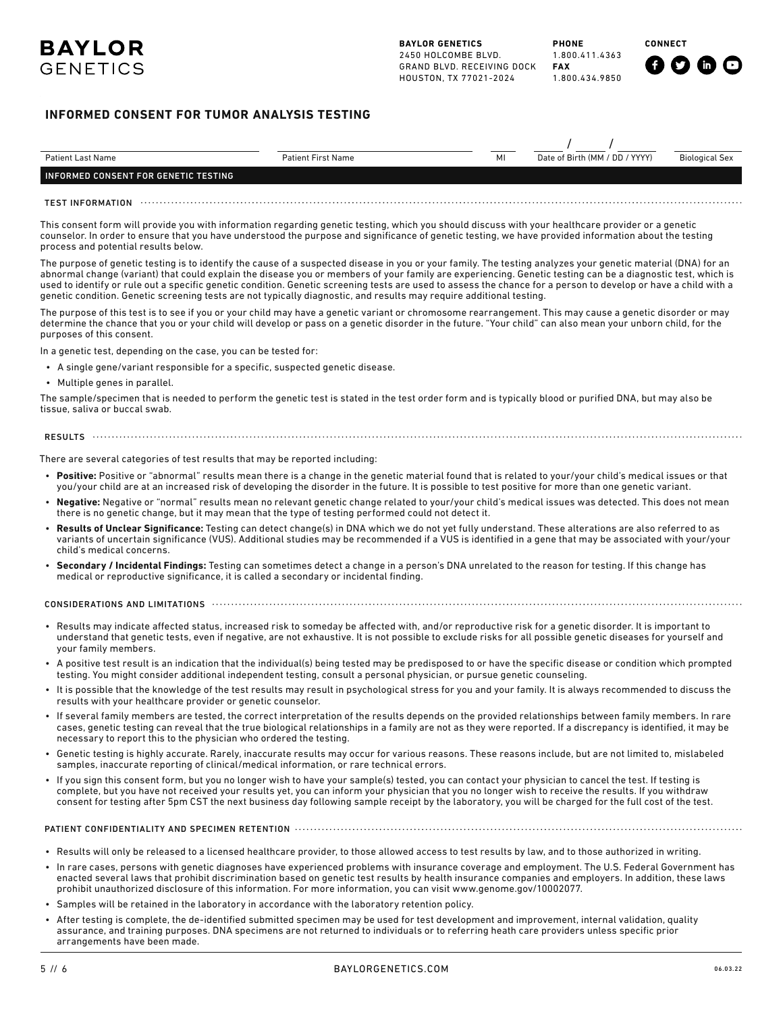**CONNECT**



# **INFORMED CONSENT FOR TUMOR ANALYSIS TESTING**

| <b>Patient Last Name</b>                                           | <b>Patient First Name</b>                                                                                                                                                                                                                                                                                                                                                                                                                                                                                                                                                                                               | MI | Date of Birth (MM / DD / YYYY) | <b>Biological Sex</b> |
|--------------------------------------------------------------------|-------------------------------------------------------------------------------------------------------------------------------------------------------------------------------------------------------------------------------------------------------------------------------------------------------------------------------------------------------------------------------------------------------------------------------------------------------------------------------------------------------------------------------------------------------------------------------------------------------------------------|----|--------------------------------|-----------------------|
| INFORMED CONSENT FOR GENETIC TESTING                               |                                                                                                                                                                                                                                                                                                                                                                                                                                                                                                                                                                                                                         |    |                                |                       |
| TEST INFORMATION                                                   |                                                                                                                                                                                                                                                                                                                                                                                                                                                                                                                                                                                                                         |    |                                |                       |
| process and potential results below.                               | This consent form will provide you with information regarding genetic testing, which you should discuss with your healthcare provider or a genetic<br>counselor. In order to ensure that you have understood the purpose and significance of genetic testing, we have provided information about the testing                                                                                                                                                                                                                                                                                                            |    |                                |                       |
|                                                                    | The purpose of genetic testing is to identify the cause of a suspected disease in you or your family. The testing analyzes your genetic material (DNA) for an<br>abnormal change (variant) that could explain the disease you or members of your family are experiencing. Genetic testing can be a diagnostic test, which is<br>used to identify or rule out a specific genetic condition. Genetic screening tests are used to assess the chance for a person to develop or have a child with a<br>genetic condition. Genetic screening tests are not typically diagnostic, and results may require additional testing. |    |                                |                       |
| purposes of this consent.                                          | The purpose of this test is to see if you or your child may have a genetic variant or chromosome rearrangement. This may cause a genetic disorder or may<br>determine the chance that you or your child will develop or pass on a genetic disorder in the future. "Your child" can also mean your unborn child, for the                                                                                                                                                                                                                                                                                                 |    |                                |                       |
| In a genetic test, depending on the case, you can be tested for:   |                                                                                                                                                                                                                                                                                                                                                                                                                                                                                                                                                                                                                         |    |                                |                       |
|                                                                    | • A single gene/variant responsible for a specific, suspected genetic disease.                                                                                                                                                                                                                                                                                                                                                                                                                                                                                                                                          |    |                                |                       |
| • Multiple genes in parallel.                                      |                                                                                                                                                                                                                                                                                                                                                                                                                                                                                                                                                                                                                         |    |                                |                       |
| tissue, saliva or buccal swab.                                     | The sample/specimen that is needed to perform the genetic test is stated in the test order form and is typically blood or purified DNA, but may also be                                                                                                                                                                                                                                                                                                                                                                                                                                                                 |    |                                |                       |
|                                                                    |                                                                                                                                                                                                                                                                                                                                                                                                                                                                                                                                                                                                                         |    |                                |                       |
|                                                                    | There are several categories of test results that may be reported including:                                                                                                                                                                                                                                                                                                                                                                                                                                                                                                                                            |    |                                |                       |
|                                                                    | • Positive: Positive or "abnormal" results mean there is a change in the genetic material found that is related to your/your child's medical issues or that<br>you/your child are at an increased risk of developing the disorder in the future. It is possible to test positive for more than one genetic variant.                                                                                                                                                                                                                                                                                                     |    |                                |                       |
|                                                                    | . Negative: Negative or "normal" results mean no relevant genetic change related to your/your child's medical issues was detected. This does not mean<br>there is no genetic change, but it may mean that the type of testing performed could not detect it.                                                                                                                                                                                                                                                                                                                                                            |    |                                |                       |
| child's medical concerns.                                          | . Results of Unclear Significance: Testing can detect change(s) in DNA which we do not yet fully understand. These alterations are also referred to as<br>variants of uncertain significance (VUS). Additional studies may be recommended if a VUS is identified in a gene that may be associated with your/your                                                                                                                                                                                                                                                                                                        |    |                                |                       |
|                                                                    | • Secondary / Incidental Findings: Testing can sometimes detect a change in a person's DNA unrelated to the reason for testing. If this change has<br>medical or reproductive significance, it is called a secondary or incidental finding.                                                                                                                                                                                                                                                                                                                                                                             |    |                                |                       |
|                                                                    | CONSIDERATIONS AND LIMITATIONS <b>With CONSIDERATION CONSIDERATIONS</b> AND LIMITATIONS                                                                                                                                                                                                                                                                                                                                                                                                                                                                                                                                 |    |                                |                       |
| your family members.                                               | • Results may indicate affected status, increased risk to someday be affected with, and/or reproductive risk for a genetic disorder. It is important to<br>understand that genetic tests, even if negative, are not exhaustive. It is not possible to exclude risks for all possible genetic diseases for yourself and                                                                                                                                                                                                                                                                                                  |    |                                |                       |
|                                                                    | • A positive test result is an indication that the individual(s) being tested may be predisposed to or have the specific disease or condition which prompted<br>testing. You might consider additional independent testing, consult a personal physician, or pursue genetic counseling.                                                                                                                                                                                                                                                                                                                                 |    |                                |                       |
| results with your healthcare provider or genetic counselor.        | . It is possible that the knowledge of the test results may result in psychological stress for you and your family. It is always recommended to discuss the                                                                                                                                                                                                                                                                                                                                                                                                                                                             |    |                                |                       |
| necessary to report this to the physician who ordered the testing. | • If several family members are tested, the correct interpretation of the results depends on the provided relationships between family members. In rare<br>cases, genetic testing can reveal that the true biological relationships in a family are not as they were reported. If a discrepancy is identified, it may be                                                                                                                                                                                                                                                                                                |    |                                |                       |
|                                                                    | • Genetic testing is highly accurate. Rarely, inaccurate results may occur for various reasons. These reasons include, but are not limited to, mislabeled<br>samples, inaccurate reporting of clinical/medical information, or rare technical errors.                                                                                                                                                                                                                                                                                                                                                                   |    |                                |                       |
|                                                                    | . If you sign this consent form, but you no longer wish to have your sample(s) tested, you can contact your physician to cancel the test. If testing is<br>complete, but you have not received your results yet, you can inform your physician that you no longer wish to receive the results. If you withdraw<br>consent for testing after 5pm CST the next business day following sample receipt by the laboratory, you will be charged for the full cost of the test.                                                                                                                                                |    |                                |                       |
|                                                                    |                                                                                                                                                                                                                                                                                                                                                                                                                                                                                                                                                                                                                         |    |                                |                       |
|                                                                    | • Results will only be released to a licensed healthcare provider, to those allowed access to test results by law, and to those authorized in writing.                                                                                                                                                                                                                                                                                                                                                                                                                                                                  |    |                                |                       |
|                                                                    | • In rare cases, persons with genetic diagnoses have experienced problems with insurance coverage and employment. The U.S. Federal Government has<br>enacted several laws that prohibit discrimination based on genetic test results by health insurance companies and employers. In addition, these laws<br>prohibit unauthorized disclosure of this information. For more information, you can visit www.genome.gov/10002077.                                                                                                                                                                                         |    |                                |                       |
|                                                                    | Samples will be retained in the laboratory in accordance with the laboratory retention policy                                                                                                                                                                                                                                                                                                                                                                                                                                                                                                                           |    |                                |                       |

- Samples will be retained in the laboratory in accordance with the laboratory retention policy.
- After testing is complete, the de-identified submitted specimen may be used for test development and improvement, internal validation, quality assurance, and training purposes. DNA specimens are not returned to individuals or to referring heath care providers unless specific prior arrangements have been made.